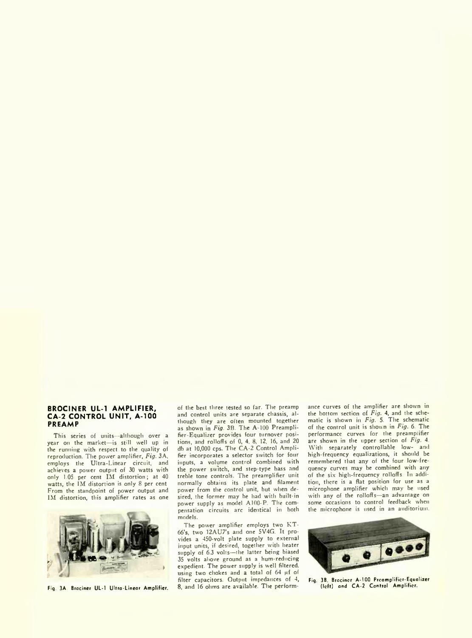## **BROCINER UL-1 AMPLIFIER, CA-2 CONTROL UNIT, A-100 PREAMP**

This series of units—although over a year on the market—is still well up in the running with respect to the quality of reproduction. The power amplifier, *Fig.* 3A, employs the Ultra-Linear circuit, and achieves a power output of 30 watts with only 1.05 per cent IM distortion; at 40 watts, the IM distortion is only 8 per cent. From the standpoint of power output and IM distortion, this amplifier rates as one



Fig. 3A. Brociner UL-1 Ultra-Linear Amplifier.

of the best three tested so far. The preamp and control units are separate chassis, although they are often mounted together as shown in *Fig.* 3B. The A-100 Preamplifier-Equalizer provides four turnover positions, and rolloffs of 0, 4, 8, 12, 16, and 20 db at 10,000 cps. The CA-2 Control Amplifier incorporates a selector switch for four inputs, a volume control combined with the power switch, and step-type bass and treble tone controls. The preamplifier unit normally obtains its plate and filament power from the control unit, but when desired, the former may be had with built-in power supply as model A100-P. The compensation circuits arc identical in both models.

The power amplifier employs two KT-66's, two 12AU7's and one 5V4G. It provides a 450-volt plate supply to external input units, if desired, together with heater supply of 6.3 volts—the latter being biased 35 volts above ground as a hum-reducing expedient. The power supply is well filtered, using two chokes and a total of 64 µf of filter capacitors. Output impedances of 4, 8, and 16 ohms are available. The performance curves of the amplifier are shown in the bottom section of *Fig.* 4, and the schematic is shown in *Fig.* 5. The schematic of the control unit is shown in *Fig.* 6. The performance curves for the preamplifier are shown in the upper section of *Fig.* 4. With separately controllable low- and high-frequency equalizations, it should be remembered that any of the four low-frequency curves may be combined with any of the six high-frequency rolloffs. In addition, there is a flat position for use as a microphone amplifier which may be used with any of the rolloffs—an advantage on some occasions to control feedback when the microphone is used in an auditorium.



Fig. 3B. Brociner A-100 Preamplifier-Equalizer (left) and CA-2 Control Amplifier.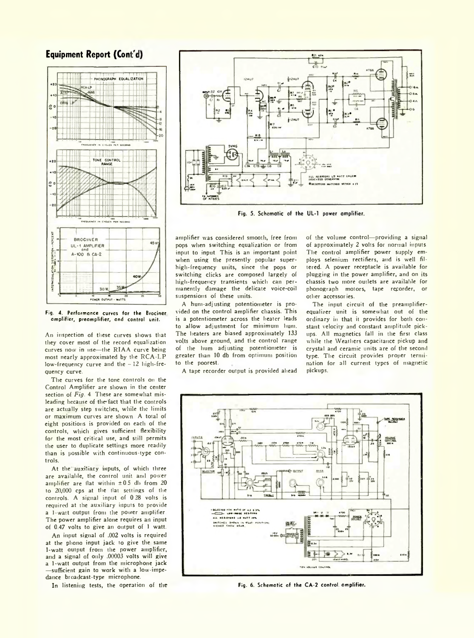## **Equipment Report (Cont'd)**



Fig. 4. Performance curves for the Brociner amplifier, preamplifier, and control unit.

An inspection of these curves shows that they cover most of the record equalization curves now in use—the RIAA curve being most nearly approximated by the RCA-LP low-frequency curve and the - 12 high-frequency curve.

The curves for the tone controls on the Control Amplifier are shown in the center section of *Fig.* 4. These are somewhat misleading because of the fact that the controls are actually step switches, while the limits or maximum curves are shown. A total of eight positions is provided on each of the controls, which gives sufficient flexibility for the most critical use, and still permits the user to duplicate settings more readily than is possible with continuous-type controls.

At the auxiliary inputs, of which three are available, the control unit and power amplifier are flat within  $\pm 0.5$  db from 20 to 20,000 cps at the flat settings of the controls. A signal input of 0.28 volts is required at the auxiliary inputs to provide a 1-watt output from the power amplifier. The power amplifier alone requires an input of 0.47 volts to give an output of 1 watt.

An input signal of .002 volts is required at the phono input jack to give the same 1-watt output from the power amplifier, and a signal of only .00003 volts will give a 1-watt output from the microphone jack —sufficient gain to work with a low-impedance broadcast-type microphone.

In listening tests, the operation of the



Fig. 5. Schematic of the UL-1 power amplifier.

amplifier was considered smooth, free from pops when switching equalization or from input to input. This is an important point when using the presently popular superhigh-frequency units, since the pops or switching clicks are composed largely of high-frequency transients which can permanently damage the delicate voice-coil suspensions of these units.

A hum-adjusting potentiometer is provided on the control amplifier chassis. This is a potentiometer across the heater leads to allow adjustment for minimum hum. The heaters are biased approximately 133 volts above ground, and the control range of the hum adjusting potentiometer is greater than 10 db from optimum position to the poorest.

A tape recorder output is provided ahead

of the volume control—providing a signal of approximately 2 volts for normal inputs. The control amplifier power supply employs selenium rectifiers, and is well filtered. A power receptacle is available for plugging in the power amplifier, and on its chassis two more outlets are available for phonograph motors, tape recorder, or other accessories.

The input circuit of the preamplifierequalizer unit is somewhat out of the ordinary in that it provides for both constant velocity and constant amplitude pickups. All magnetics fall in the first class while the Weathers capacitance pickup and crystal and ceramic units are of the second type. The circuit provides proper termination for all current types of magnetic pickups.



Fig. 6. Schematic of the CA-2 control amplifier.